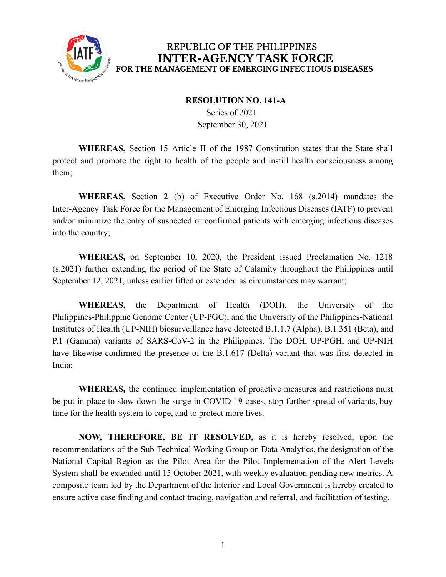

#### **RESOLUTION NO. 141-A**

Series of 2021 September 30, 2021

**WHEREAS,** Section 15 Article II of the 1987 Constitution states that the State shall protect and promote the right to health of the people and instill health consciousness among them;

**WHEREAS,** Section 2 (b) of Executive Order No. 168 (s.2014) mandates the Inter-Agency Task Force for the Management of Emerging Infectious Diseases (IATF) to prevent and/or minimize the entry of suspected or confirmed patients with emerging infectious diseases into the country;

**WHEREAS,** on September 10, 2020, the President issued Proclamation No. 1218 (s.2021) further extending the period of the State of Calamity throughout the Philippines until September 12, 2021, unless earlier lifted or extended as circumstances may warrant;

**WHEREAS,** the Department of Health (DOH), the University of the Philippines-Philippine Genome Center (UP-PGC), and the University of the Philippines-National Institutes of Health (UP-NIH) biosurveillance have detected B.1.1.7 (Alpha), B.1.351 (Beta), and P.1 (Gamma) variants of SARS-CoV-2 in the Philippines. The DOH, UP-PGH, and UP-NIH have likewise confirmed the presence of the B.1.617 (Delta) variant that was first detected in India;

**WHEREAS,** the continued implementation of proactive measures and restrictions must be put in place to slow down the surge in COVID-19 cases, stop further spread of variants, buy time for the health system to cope, and to protect more lives.

**NOW, THEREFORE, BE IT RESOLVED,** as it is hereby resolved, upon the recommendations of the Sub-Technical Working Group on Data Analytics, the designation of the National Capital Region as the Pilot Area for the Pilot Implementation of the Alert Levels System shall be extended until 15 October 2021, with weekly evaluation pending new metrics. A composite team led by the Department of the Interior and Local Government is hereby created to ensure active case finding and contact tracing, navigation and referral, and facilitation of testing.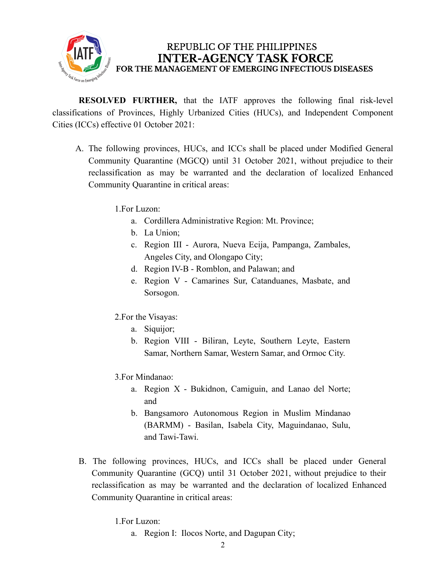

**RESOLVED FURTHER,** that the IATF approves the following final risk-level classifications of Provinces, Highly Urbanized Cities (HUCs), and Independent Component Cities (ICCs) effective 01 October 2021:

A. The following provinces, HUCs, and ICCs shall be placed under Modified General Community Quarantine (MGCQ) until 31 October 2021, without prejudice to their reclassification as may be warranted and the declaration of localized Enhanced Community Quarantine in critical areas:

1.For Luzon:

- a. Cordillera Administrative Region: Mt. Province;
- b. La Union;
- c. Region III Aurora, Nueva Ecija, Pampanga, Zambales, Angeles City, and Olongapo City;
- d. Region IV-B Romblon, and Palawan; and
- e. Region V Camarines Sur, Catanduanes, Masbate, and Sorsogon.
- 2.For the Visayas:
	- a. Siquijor;
	- b. Region VIII Biliran, Leyte, Southern Leyte, Eastern Samar, Northern Samar, Western Samar, and Ormoc City.
- 3.For Mindanao:
	- a. Region X Bukidnon, Camiguin, and Lanao del Norte; and
	- b. Bangsamoro Autonomous Region in Muslim Mindanao (BARMM) - Basilan, Isabela City, Maguindanao, Sulu, and Tawi-Tawi.
- B. The following provinces, HUCs, and ICCs shall be placed under General Community Quarantine (GCQ) until 31 October 2021, without prejudice to their reclassification as may be warranted and the declaration of localized Enhanced Community Quarantine in critical areas:

1.For Luzon:

a. Region I: Ilocos Norte, and Dagupan City;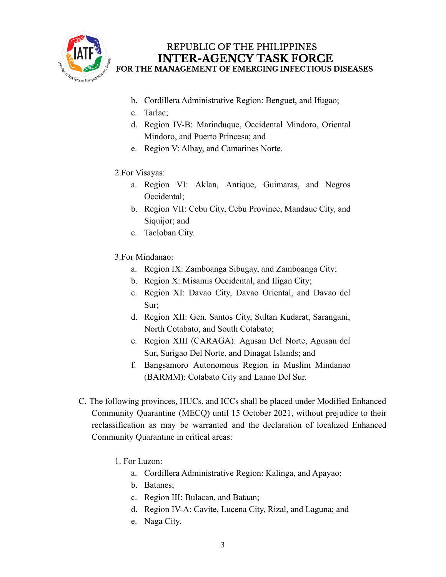

- b. Cordillera Administrative Region: Benguet, and Ifugao;
- c. Tarlac;
- d. Region IV-B: Marinduque, Occidental Mindoro, Oriental Mindoro, and Puerto Princesa; and
- e. Region V: Albay, and Camarines Norte.

### 2.For Visayas:

- a. Region VI: Aklan, Antique, Guimaras, and Negros Occidental;
- b. Region VII: Cebu City, Cebu Province, Mandaue City, and Siquijor; and
- c. Tacloban City.
- 3.For Mindanao:
	- a. Region IX: Zamboanga Sibugay, and Zamboanga City;
	- b. Region X: Misamis Occidental, and Iligan City;
	- c. Region XI: Davao City, Davao Oriental, and Davao del Sur;
	- d. Region XII: Gen. Santos City, Sultan Kudarat, Sarangani, North Cotabato, and South Cotabato;
	- e. Region XIII (CARAGA): Agusan Del Norte, Agusan del Sur, Surigao Del Norte, and Dinagat Islands; and
	- f. Bangsamoro Autonomous Region in Muslim Mindanao (BARMM): Cotabato City and Lanao Del Sur.
- C. The following provinces, HUCs, and ICCs shall be placed under Modified Enhanced Community Quarantine (MECQ) until 15 October 2021, without prejudice to their reclassification as may be warranted and the declaration of localized Enhanced Community Quarantine in critical areas:
	- 1. For Luzon:
		- a. Cordillera Administrative Region: Kalinga, and Apayao;
		- b. Batanes;
		- c. Region III: Bulacan, and Bataan;
		- d. Region IV-A: Cavite, Lucena City, Rizal, and Laguna; and
		- e. Naga City.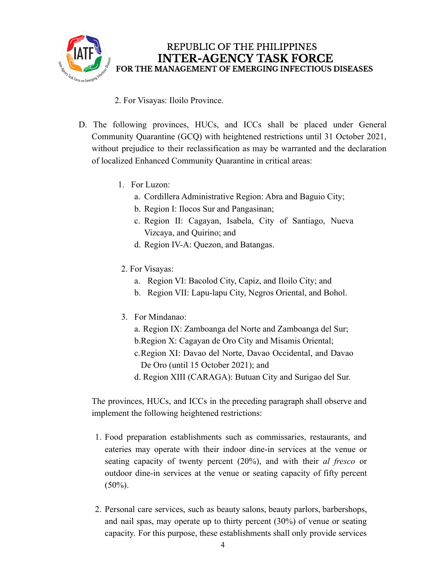

- 2. For Visayas: Iloilo Province.
- D. The following provinces, HUCs, and ICCs shall be placed under General Community Quarantine (GCQ) with heightened restrictions until 31 October 2021, without prejudice to their reclassification as may be warranted and the declaration of localized Enhanced Community Quarantine in critical areas:
	- 1. For Luzon:
		- a. Cordillera Administrative Region: Abra and Baguio City;
		- b. Region I: Ilocos Sur and Pangasinan;
		- c. Region II: Cagayan, Isabela, City of Santiago, Nueva Vizcaya, and Quirino; and
		- d. Region IV-A: Quezon, and Batangas.
	- 2. For Visayas:
		- a. Region VI: Bacolod City, Capiz, and Iloilo City; and
		- b. Region VII: Lapu-lapu City, Negros Oriental, and Bohol.
	- 3. For Mindanao:
		- a. Region IX: Zamboanga del Norte and Zamboanga del Sur;
		- b.Region X: Cagayan de Oro City and Misamis Oriental;
		- c.Region XI: Davao del Norte, Davao Occidental, and Davao De Oro (until 15 October 2021); and
		- d. Region XIII (CARAGA): Butuan City and Surigao del Sur.

The provinces, HUCs, and ICCs in the preceding paragraph shall observe and implement the following heightened restrictions:

- 1. Food preparation establishments such as commissaries, restaurants, and eateries may operate with their indoor dine-in services at the venue or seating capacity of twenty percent (20%), and with their *al fresco* or outdoor dine-in services at the venue or seating capacity of fifty percent  $(50\%)$ .
- 2. Personal care services, such as beauty salons, beauty parlors, barbershops, and nail spas, may operate up to thirty percent (30%) of venue or seating capacity. For this purpose, these establishments shall only provide services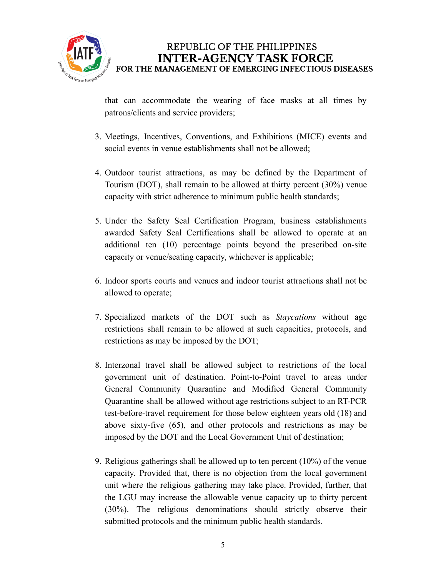

that can accommodate the wearing of face masks at all times by patrons/clients and service providers;

- 3. Meetings, Incentives, Conventions, and Exhibitions (MICE) events and social events in venue establishments shall not be allowed;
- 4. Outdoor tourist attractions, as may be defined by the Department of Tourism (DOT), shall remain to be allowed at thirty percent (30%) venue capacity with strict adherence to minimum public health standards;
- 5. Under the Safety Seal Certification Program, business establishments awarded Safety Seal Certifications shall be allowed to operate at an additional ten (10) percentage points beyond the prescribed on-site capacity or venue/seating capacity, whichever is applicable;
- 6. Indoor sports courts and venues and indoor tourist attractions shall not be allowed to operate;
- 7. Specialized markets of the DOT such as *Staycations* without age restrictions shall remain to be allowed at such capacities, protocols, and restrictions as may be imposed by the DOT;
- 8. Interzonal travel shall be allowed subject to restrictions of the local government unit of destination. Point-to-Point travel to areas under General Community Quarantine and Modified General Community Quarantine shall be allowed without age restrictions subject to an RT-PCR test-before-travel requirement for those below eighteen years old (18) and above sixty-five (65), and other protocols and restrictions as may be imposed by the DOT and the Local Government Unit of destination;
- 9. Religious gatherings shall be allowed up to ten percent (10%) of the venue capacity. Provided that, there is no objection from the local government unit where the religious gathering may take place. Provided, further, that the LGU may increase the allowable venue capacity up to thirty percent (30%). The religious denominations should strictly observe their submitted protocols and the minimum public health standards.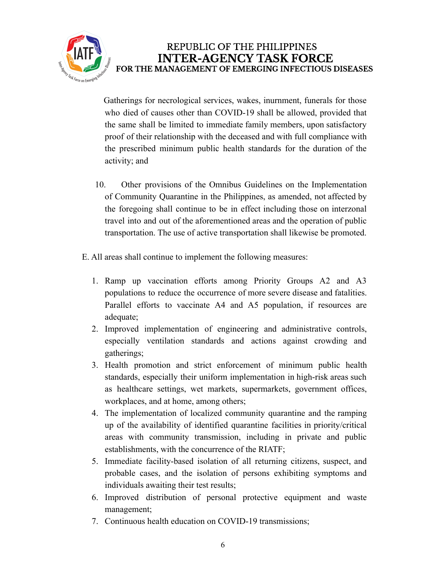

Gatherings for necrological services, wakes, inurnment, funerals for those who died of causes other than COVID-19 shall be allowed, provided that the same shall be limited to immediate family members, upon satisfactory proof of their relationship with the deceased and with full compliance with the prescribed minimum public health standards for the duration of the activity; and

- 10. Other provisions of the Omnibus Guidelines on the Implementation of Community Quarantine in the Philippines, as amended, not affected by the foregoing shall continue to be in effect including those on interzonal travel into and out of the aforementioned areas and the operation of public transportation. The use of active transportation shall likewise be promoted.
- E. All areas shall continue to implement the following measures:
	- 1. Ramp up vaccination efforts among Priority Groups A2 and A3 populations to reduce the occurrence of more severe disease and fatalities. Parallel efforts to vaccinate A4 and A5 population, if resources are adequate;
	- 2. Improved implementation of engineering and administrative controls, especially ventilation standards and actions against crowding and gatherings;
	- 3. Health promotion and strict enforcement of minimum public health standards, especially their uniform implementation in high-risk areas such as healthcare settings, wet markets, supermarkets, government offices, workplaces, and at home, among others;
	- 4. The implementation of localized community quarantine and the ramping up of the availability of identified quarantine facilities in priority/critical areas with community transmission, including in private and public establishments, with the concurrence of the RIATF;
	- 5. Immediate facility-based isolation of all returning citizens, suspect, and probable cases, and the isolation of persons exhibiting symptoms and individuals awaiting their test results;
	- 6. Improved distribution of personal protective equipment and waste management;
	- 7. Continuous health education on COVID-19 transmissions;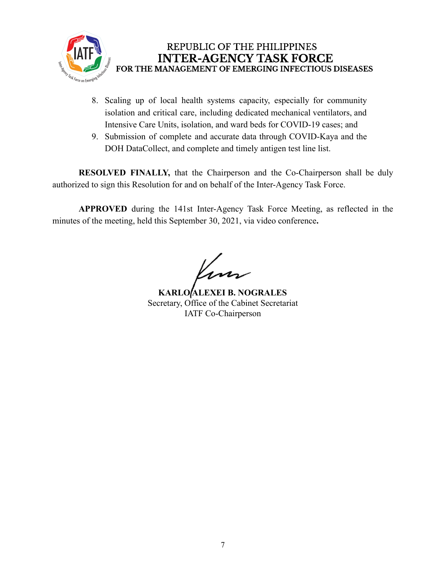

- 8. Scaling up of local health systems capacity, especially for community isolation and critical care, including dedicated mechanical ventilators, and Intensive Care Units, isolation, and ward beds for COVID-19 cases; and
- 9. Submission of complete and accurate data through COVID-Kaya and the DOH DataCollect, and complete and timely antigen test line list.

**RESOLVED FINALLY,** that the Chairperson and the Co-Chairperson shall be duly authorized to sign this Resolution for and on behalf of the Inter-Agency Task Force.

**APPROVED** during the 141st Inter-Agency Task Force Meeting, as reflected in the minutes of the meeting, held this September 30, 2021, via video conference**.**

**KARLO ALEXEI B. NOGRALES** Secretary, Office of the Cabinet Secretariat IATF Co-Chairperson